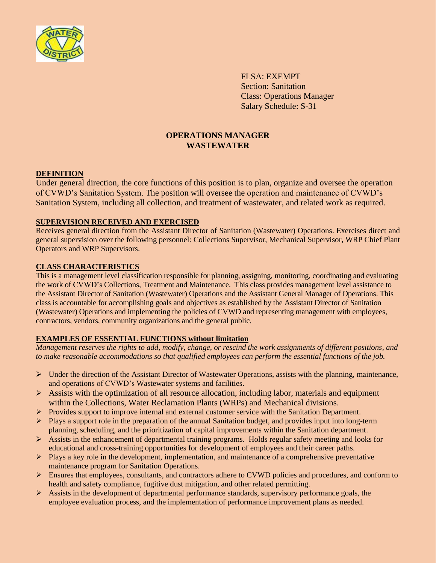

FLSA: EXEMPT Section: Sanitation Class: Operations Manager Salary Schedule: S-31

# **OPERATIONS MANAGER WASTEWATER**

### **DEFINITION**

Under general direction, the core functions of this position is to plan, organize and oversee the operation of CVWD's Sanitation System. The position will oversee the operation and maintenance of CVWD's Sanitation System, including all collection, and treatment of wastewater, and related work as required.

### **SUPERVISION RECEIVED AND EXERCISED**

Receives general direction from the Assistant Director of Sanitation (Wastewater) Operations. Exercises direct and general supervision over the following personnel: Collections Supervisor, Mechanical Supervisor, WRP Chief Plant Operators and WRP Supervisors.

### **CLASS CHARACTERISTICS**

This is a management level classification responsible for planning, assigning, monitoring, coordinating and evaluating the work of CVWD's Collections, Treatment and Maintenance. This class provides management level assistance to the Assistant Director of Sanitation (Wastewater) Operations and the Assistant General Manager of Operations. This class is accountable for accomplishing goals and objectives as established by the Assistant Director of Sanitation (Wastewater) Operations and implementing the policies of CVWD and representing management with employees, contractors, vendors, community organizations and the general public.

# **EXAMPLES OF ESSENTIAL FUNCTIONS without limitation**

*Management reserves the rights to add, modify, change, or rescind the work assignments of different positions, and to make reasonable accommodations so that qualified employees can perform the essential functions of the job.*

- $\triangleright$  Under the direction of the Assistant Director of Wastewater Operations, assists with the planning, maintenance, and operations of CVWD's Wastewater systems and facilities.
- $\triangleright$  Assists with the optimization of all resource allocation, including labor, materials and equipment within the Collections, Water Reclamation Plants (WRPs) and Mechanical divisions.
- $\triangleright$  Provides support to improve internal and external customer service with the Sanitation Department.
- $\triangleright$  Plays a support role in the preparation of the annual Sanitation budget, and provides input into long-term planning, scheduling, and the prioritization of capital improvements within the Sanitation department.
- $\triangleright$  Assists in the enhancement of departmental training programs. Holds regular safety meeting and looks for educational and cross-training opportunities for development of employees and their career paths.
- $\triangleright$  Plays a key role in the development, implementation, and maintenance of a comprehensive preventative maintenance program for Sanitation Operations.
- Ensures that employees, consultants, and contractors adhere to CVWD policies and procedures, and conform to health and safety compliance, fugitive dust mitigation, and other related permitting.
- $\triangleright$  Assists in the development of departmental performance standards, supervisory performance goals, the employee evaluation process, and the implementation of performance improvement plans as needed.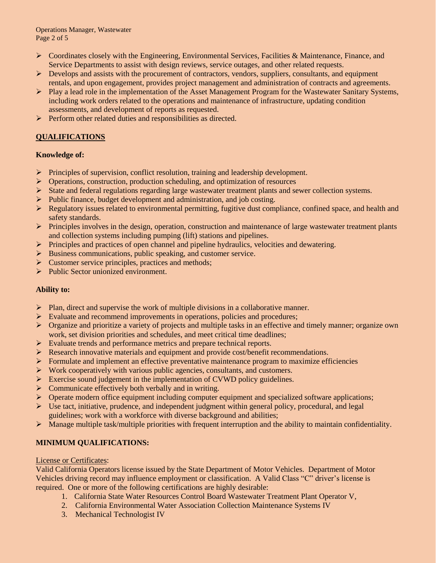- $\triangleright$  Coordinates closely with the Engineering, Environmental Services, Facilities & Maintenance, Finance, and Service Departments to assist with design reviews, service outages, and other related requests.
- $\triangleright$  Develops and assists with the procurement of contractors, vendors, suppliers, consultants, and equipment rentals, and upon engagement, provides project management and administration of contracts and agreements.
- Play a lead role in the implementation of the Asset Management Program for the Wastewater Sanitary Systems, including work orders related to the operations and maintenance of infrastructure, updating condition assessments, and development of reports as requested.
- Perform other related duties and responsibilities as directed.

# **QUALIFICATIONS**

# **Knowledge of:**

- $\triangleright$  Principles of supervision, conflict resolution, training and leadership development.
- **EXECUTE:** Operations, construction, production scheduling, and optimization of resources
- State and federal regulations regarding large wastewater treatment plants and sewer collection systems.
- $\triangleright$  Public finance, budget development and administration, and job costing.
- $\triangleright$  Regulatory issues related to environmental permitting, fugitive dust compliance, confined space, and health and safety standards.
- Principles involves in the design, operation, construction and maintenance of large wastewater treatment plants and collection systems including pumping (lift) stations and pipelines.
- $\triangleright$  Principles and practices of open channel and pipeline hydraulics, velocities and dewatering.
- $\triangleright$  Business communications, public speaking, and customer service.
- $\triangleright$  Customer service principles, practices and methods;
- $\triangleright$  Public Sector unionized environment.

#### **Ability to:**

- $\triangleright$  Plan, direct and supervise the work of multiple divisions in a collaborative manner.
- $\triangleright$  Evaluate and recommend improvements in operations, policies and procedures;
- $\triangleright$  Organize and prioritize a variety of projects and multiple tasks in an effective and timely manner; organize own work, set division priorities and schedules, and meet critical time deadlines;
- Evaluate trends and performance metrics and prepare technical reports.
- Research innovative materials and equipment and provide cost/benefit recommendations.
- $\triangleright$  Formulate and implement an effective preventative maintenance program to maximize efficiencies
- $\triangleright$  Work cooperatively with various public agencies, consultants, and customers.
- Exercise sound judgement in the implementation of CVWD policy guidelines.
- $\triangleright$  Communicate effectively both verbally and in writing.
- $\triangleright$  Operate modern office equipment including computer equipment and specialized software applications;
- $\triangleright$  Use tact, initiative, prudence, and independent judgment within general policy, procedural, and legal guidelines; work with a workforce with diverse background and abilities;
- $\triangleright$  Manage multiple task/multiple priorities with frequent interruption and the ability to maintain confidentiality.

# **MINIMUM QUALIFICATIONS:**

#### License or Certificates:

Valid California Operators license issued by the State Department of Motor Vehicles. Department of Motor Vehicles driving record may influence employment or classification. A Valid Class "C" driver's license is required. One or more of the following certifications are highly desirable:

- 1. California State Water Resources Control Board Wastewater Treatment Plant Operator V,
- 2. California Environmental Water Association Collection Maintenance Systems IV
- 3. Mechanical Technologist IV